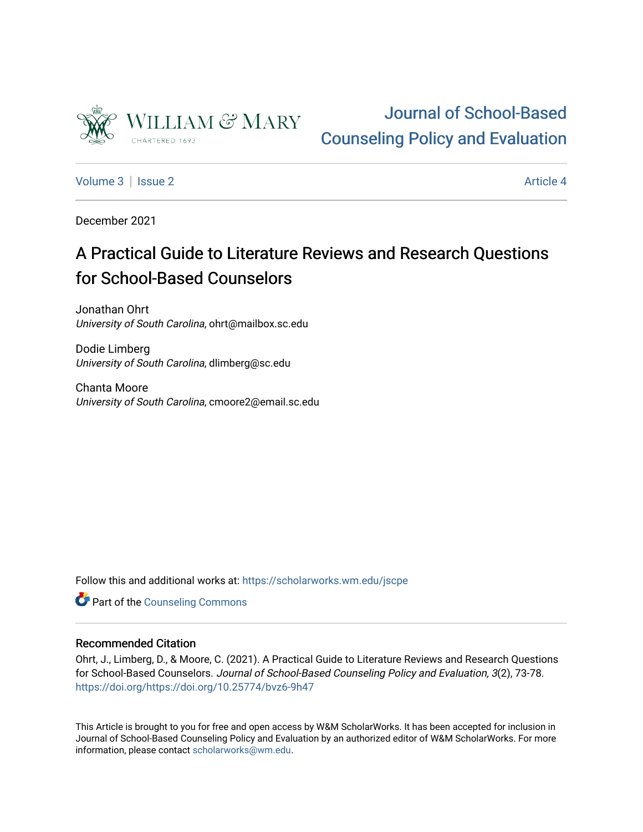

# [Journal of School-Based](https://scholarworks.wm.edu/jscpe)  [Counseling Policy and Evaluation](https://scholarworks.wm.edu/jscpe)

[Volume 3](https://scholarworks.wm.edu/jscpe/vol3) | [Issue 2](https://scholarworks.wm.edu/jscpe/vol3/iss2) Article 4

December 2021

# A Practical Guide to Literature Reviews and Research Questions for School-Based Counselors

Jonathan Ohrt University of South Carolina, ohrt@mailbox.sc.edu

Dodie Limberg University of South Carolina, dlimberg@sc.edu

Chanta Moore University of South Carolina, cmoore2@email.sc.edu

Follow this and additional works at: [https://scholarworks.wm.edu/jscpe](https://scholarworks.wm.edu/jscpe?utm_source=scholarworks.wm.edu%2Fjscpe%2Fvol3%2Fiss2%2F4&utm_medium=PDF&utm_campaign=PDFCoverPages) 

**C**<sup> $\bullet$ </sup> Part of the Counseling Commons

# Recommended Citation

Ohrt, J., Limberg, D., & Moore, C. (2021). A Practical Guide to Literature Reviews and Research Questions for School-Based Counselors. Journal of School-Based Counseling Policy and Evaluation, 3(2), 73-78. <https://doi.org/https://doi.org/10.25774/bvz6-9h47>

This Article is brought to you for free and open access by W&M ScholarWorks. It has been accepted for inclusion in Journal of School-Based Counseling Policy and Evaluation by an authorized editor of W&M ScholarWorks. For more information, please contact [scholarworks@wm.edu](mailto:scholarworks@wm.edu).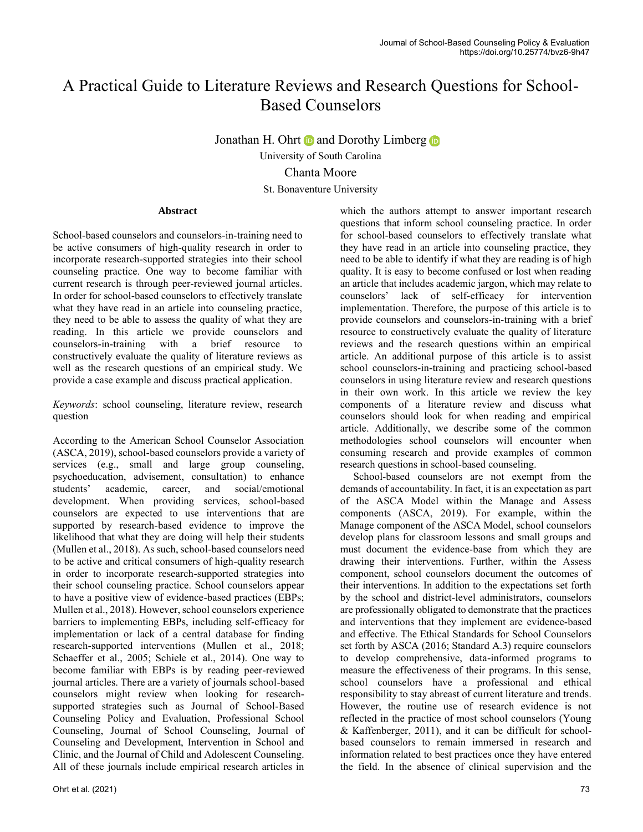# A Practical Guide to Literature Reviews and Research Questions for School-Based Counselors

JonathanH. Ohrt  $\Box$  and Dorothy Limberg  $\Box$ 

University of South Carolina

Chanta Moore

St. Bonaventure University

### **Abstract**

School-based counselors and counselors-in-training need to be active consumers of high-quality research in order to incorporate research-supported strategies into their school counseling practice. One way to become familiar with current research is through peer-reviewed journal articles. In order for school-based counselors to effectively translate what they have read in an article into counseling practice, they need to be able to assess the quality of what they are reading. In this article we provide counselors and counselors-in-training with a brief resource to constructively evaluate the quality of literature reviews as well as the research questions of an empirical study. We provide a case example and discuss practical application.

*Keywords*: school counseling, literature review, research question

According to the American School Counselor Association (ASCA, 2019), school-based counselors provide a variety of services (e.g., small and large group counseling, psychoeducation, advisement, consultation) to enhance students' academic, career, and social/emotional development. When providing services, school-based counselors are expected to use interventions that are supported by research-based evidence to improve the likelihood that what they are doing will help their students (Mullen et al., 2018). As such, school-based counselors need to be active and critical consumers of high-quality research in order to incorporate research-supported strategies into their school counseling practice. School counselors appear to have a positive view of evidence-based practices (EBPs; Mullen et al., 2018). However, school counselors experience barriers to implementing EBPs, including self-efficacy for implementation or lack of a central database for finding research-supported interventions (Mullen et al., 2018; Schaeffer et al., 2005; Schiele et al., 2014). One way to become familiar with EBPs is by reading peer-reviewed journal articles. There are a variety of journals school-based counselors might review when looking for researchsupported strategies such as Journal of School-Based Counseling Policy and Evaluation, Professional School Counseling, Journal of School Counseling, Journal of Counseling and Development, Intervention in School and Clinic, and the Journal of Child and Adolescent Counseling. All of these journals include empirical research articles in

they have read in an article into counseling practice, they need to be able to identify if what they are reading is of high quality. It is easy to become confused or lost when reading an article that includes academic jargon, which may relate to counselors' lack of self-efficacy for intervention implementation. Therefore, the purpose of this article is to provide counselors and counselors-in-training with a brief resource to constructively evaluate the quality of literature reviews and the research questions within an empirical article. An additional purpose of this article is to assist school counselors-in-training and practicing school-based counselors in using literature review and research questions in their own work. In this article we review the key components of a literature review and discuss what counselors should look for when reading and empirical article. Additionally, we describe some of the common methodologies school counselors will encounter when consuming research and provide examples of common research questions in school-based counseling.

which the authors attempt to answer important research questions that inform school counseling practice. In order for school-based counselors to effectively translate what

 School-based counselors are not exempt from the demands of accountability. In fact, it is an expectation as part of the ASCA Model within the Manage and Assess components (ASCA, 2019). For example, within the Manage component of the ASCA Model, school counselors develop plans for classroom lessons and small groups and must document the evidence-base from which they are drawing their interventions. Further, within the Assess component, school counselors document the outcomes of their interventions. In addition to the expectations set forth by the school and district-level administrators, counselors are professionally obligated to demonstrate that the practices and interventions that they implement are evidence-based and effective. The Ethical Standards for School Counselors set forth by ASCA (2016; Standard A.3) require counselors to develop comprehensive, data-informed programs to measure the effectiveness of their programs. In this sense, school counselors have a professional and ethical responsibility to stay abreast of current literature and trends. However, the routine use of research evidence is not reflected in the practice of most school counselors (Young & Kaffenberger, 2011), and it can be difficult for schoolbased counselors to remain immersed in research and information related to best practices once they have entered the field. In the absence of clinical supervision and the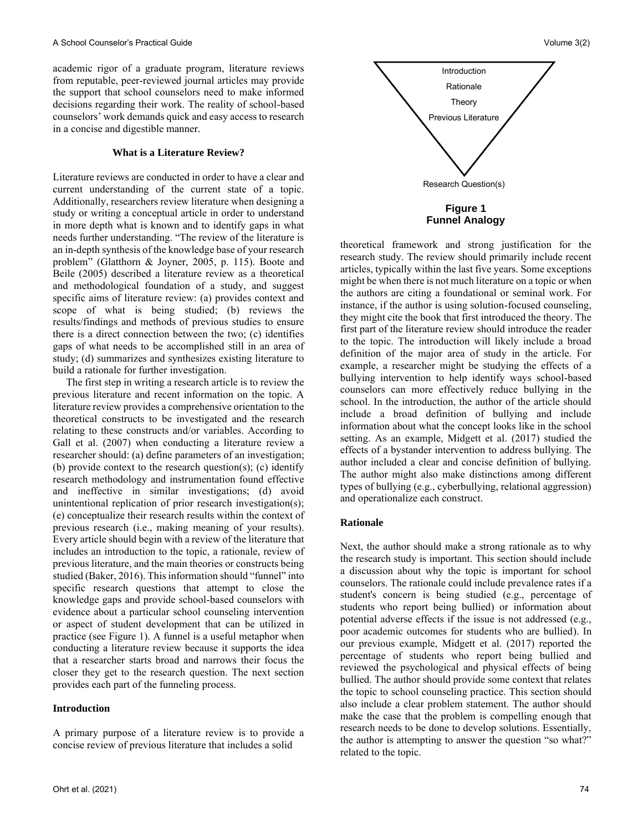academic rigor of a graduate program, literature reviews from reputable, peer-reviewed journal articles may provide the support that school counselors need to make informed decisions regarding their work. The reality of school-based counselors' work demands quick and easy access to research in a concise and digestible manner.

#### **What is a Literature Review?**

Literature reviews are conducted in order to have a clear and current understanding of the current state of a topic. Additionally, researchers review literature when designing a study or writing a conceptual article in order to understand in more depth what is known and to identify gaps in what needs further understanding. "The review of the literature is an in-depth synthesis of the knowledge base of your research problem" (Glatthorn & Joyner, 2005, p. 115). Boote and Beile (2005) described a literature review as a theoretical and methodological foundation of a study, and suggest specific aims of literature review: (a) provides context and scope of what is being studied; (b) reviews the results/findings and methods of previous studies to ensure there is a direct connection between the two; (c) identifies gaps of what needs to be accomplished still in an area of study; (d) summarizes and synthesizes existing literature to build a rationale for further investigation.

 The first step in writing a research article is to review the previous literature and recent information on the topic. A literature review provides a comprehensive orientation to the theoretical constructs to be investigated and the research relating to these constructs and/or variables. According to Gall et al. (2007) when conducting a literature review a researcher should: (a) define parameters of an investigation; (b) provide context to the research question(s); (c) identify research methodology and instrumentation found effective and ineffective in similar investigations; (d) avoid unintentional replication of prior research investigation(s); (e) conceptualize their research results within the context of previous research (i.e., making meaning of your results). Every article should begin with a review of the literature that includes an introduction to the topic, a rationale, review of previous literature, and the main theories or constructs being studied (Baker, 2016). This information should "funnel" into specific research questions that attempt to close the knowledge gaps and provide school-based counselors with evidence about a particular school counseling intervention or aspect of student development that can be utilized in practice (see Figure 1). A funnel is a useful metaphor when conducting a literature review because it supports the idea that a researcher starts broad and narrows their focus the closer they get to the research question. The next section provides each part of the funneling process.

#### **Introduction**

A primary purpose of a literature review is to provide a concise review of previous literature that includes a solid



theoretical framework and strong justification for the research study. The review should primarily include recent articles, typically within the last five years. Some exceptions might be when there is not much literature on a topic or when the authors are citing a foundational or seminal work. For instance, if the author is using solution-focused counseling, they might cite the book that first introduced the theory. The first part of the literature review should introduce the reader to the topic. The introduction will likely include a broad definition of the major area of study in the article. For example, a researcher might be studying the effects of a bullying intervention to help identify ways school-based counselors can more effectively reduce bullying in the school. In the introduction, the author of the article should include a broad definition of bullying and include information about what the concept looks like in the school setting. As an example, Midgett et al. (2017) studied the effects of a bystander intervention to address bullying. The author included a clear and concise definition of bullying. The author might also make distinctions among different types of bullying (e.g., cyberbullying, relational aggression) and operationalize each construct.

#### **Rationale**

Next, the author should make a strong rationale as to why the research study is important. This section should include a discussion about why the topic is important for school counselors. The rationale could include prevalence rates if a student's concern is being studied (e.g., percentage of students who report being bullied) or information about potential adverse effects if the issue is not addressed (e.g., poor academic outcomes for students who are bullied). In our previous example, Midgett et al. (2017) reported the percentage of students who report being bullied and reviewed the psychological and physical effects of being bullied. The author should provide some context that relates the topic to school counseling practice. This section should also include a clear problem statement. The author should make the case that the problem is compelling enough that research needs to be done to develop solutions. Essentially, the author is attempting to answer the question "so what?" related to the topic.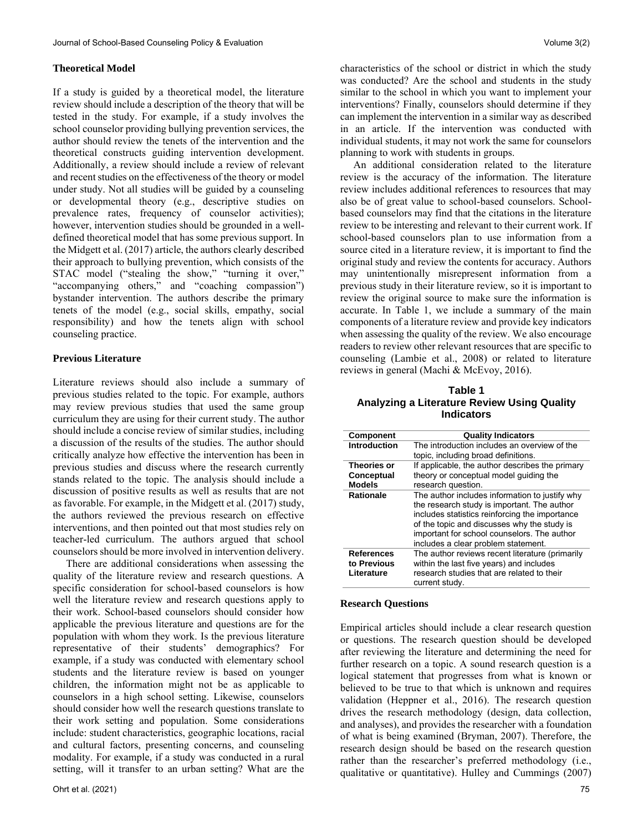#### **Theoretical Model**

If a study is guided by a theoretical model, the literature review should include a description of the theory that will be tested in the study. For example, if a study involves the school counselor providing bullying prevention services, the author should review the tenets of the intervention and the theoretical constructs guiding intervention development. Additionally, a review should include a review of relevant and recent studies on the effectiveness of the theory or model under study. Not all studies will be guided by a counseling or developmental theory (e.g., descriptive studies on prevalence rates, frequency of counselor activities); however, intervention studies should be grounded in a welldefined theoretical model that has some previous support. In the Midgett et al. (2017) article, the authors clearly described their approach to bullying prevention, which consists of the STAC model ("stealing the show," "turning it over," "accompanying others," and "coaching compassion") bystander intervention. The authors describe the primary tenets of the model (e.g., social skills, empathy, social responsibility) and how the tenets align with school counseling practice.

#### **Previous Literature**

Literature reviews should also include a summary of previous studies related to the topic. For example, authors may review previous studies that used the same group curriculum they are using for their current study. The author should include a concise review of similar studies, including a discussion of the results of the studies. The author should critically analyze how effective the intervention has been in previous studies and discuss where the research currently stands related to the topic. The analysis should include a discussion of positive results as well as results that are not as favorable. For example, in the Midgett et al. (2017) study, the authors reviewed the previous research on effective interventions, and then pointed out that most studies rely on teacher-led curriculum. The authors argued that school counselors should be more involved in intervention delivery.

 There are additional considerations when assessing the quality of the literature review and research questions. A specific consideration for school-based counselors is how well the literature review and research questions apply to their work. School-based counselors should consider how applicable the previous literature and questions are for the population with whom they work. Is the previous literature representative of their students' demographics? For example, if a study was conducted with elementary school students and the literature review is based on younger children, the information might not be as applicable to counselors in a high school setting. Likewise, counselors should consider how well the research questions translate to their work setting and population. Some considerations include: student characteristics, geographic locations, racial and cultural factors, presenting concerns, and counseling modality. For example, if a study was conducted in a rural setting, will it transfer to an urban setting? What are the characteristics of the school or district in which the study was conducted? Are the school and students in the study similar to the school in which you want to implement your interventions? Finally, counselors should determine if they can implement the intervention in a similar way as described in an article. If the intervention was conducted with individual students, it may not work the same for counselors planning to work with students in groups.

 An additional consideration related to the literature review is the accuracy of the information. The literature review includes additional references to resources that may also be of great value to school-based counselors. Schoolbased counselors may find that the citations in the literature review to be interesting and relevant to their current work. If school-based counselors plan to use information from a source cited in a literature review, it is important to find the original study and review the contents for accuracy. Authors may unintentionally misrepresent information from a previous study in their literature review, so it is important to review the original source to make sure the information is accurate. In Table 1, we include a summary of the main components of a literature review and provide key indicators when assessing the quality of the review. We also encourage readers to review other relevant resources that are specific to counseling (Lambie et al., 2008) or related to literature reviews in general (Machi & McEvoy, 2016).

**Table 1 Analyzing a Literature Review Using Quality Indicators**

| <b>Component</b>                               | <b>Quality Indicators</b>                                                                                                                                                                                                                                                            |  |
|------------------------------------------------|--------------------------------------------------------------------------------------------------------------------------------------------------------------------------------------------------------------------------------------------------------------------------------------|--|
| <b>Introduction</b>                            | The introduction includes an overview of the                                                                                                                                                                                                                                         |  |
|                                                | topic, including broad definitions.                                                                                                                                                                                                                                                  |  |
| Theories or                                    | If applicable, the author describes the primary                                                                                                                                                                                                                                      |  |
| Conceptual                                     | theory or conceptual model quiding the                                                                                                                                                                                                                                               |  |
| <b>Models</b>                                  | research question.                                                                                                                                                                                                                                                                   |  |
| <b>Rationale</b>                               | The author includes information to justify why<br>the research study is important. The author<br>includes statistics reinforcing the importance<br>of the topic and discusses why the study is<br>important for school counselors. The author<br>includes a clear problem statement. |  |
| <b>References</b><br>to Previous<br>Literature | The author reviews recent literature (primarily<br>within the last five years) and includes<br>research studies that are related to their<br>current study.                                                                                                                          |  |

#### **Research Questions**

Empirical articles should include a clear research question or questions. The research question should be developed after reviewing the literature and determining the need for further research on a topic. A sound research question is a logical statement that progresses from what is known or believed to be true to that which is unknown and requires validation (Heppner et al., 2016). The research question drives the research methodology (design, data collection, and analyses), and provides the researcher with a foundation of what is being examined (Bryman, 2007). Therefore, the research design should be based on the research question rather than the researcher's preferred methodology (i.e., qualitative or quantitative). Hulley and Cummings (2007)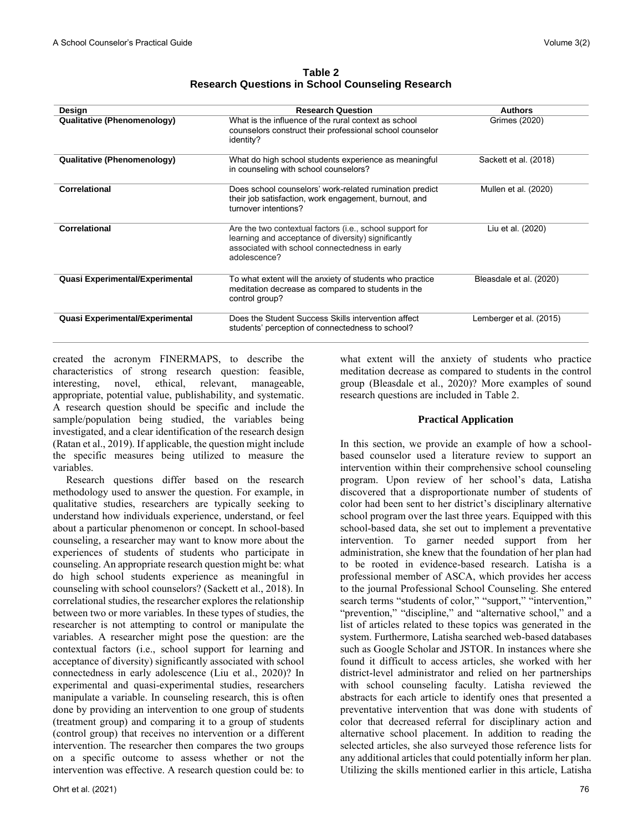|                                        | <b>Research Question</b>                                                                                                                                                         | <b>Authors</b>          |
|----------------------------------------|----------------------------------------------------------------------------------------------------------------------------------------------------------------------------------|-------------------------|
| Design                                 |                                                                                                                                                                                  |                         |
| <b>Qualitative (Phenomenology)</b>     | What is the influence of the rural context as school<br>counselors construct their professional school counselor<br>identity?                                                    | Grimes (2020)           |
| <b>Qualitative (Phenomenology)</b>     | What do high school students experience as meaningful<br>in counseling with school counselors?                                                                                   | Sackett et al. (2018)   |
| Correlational                          | Does school counselors' work-related rumination predict<br>their job satisfaction, work engagement, burnout, and<br>turnover intentions?                                         | Mullen et al. (2020)    |
| Correlational                          | Are the two contextual factors (i.e., school support for<br>learning and acceptance of diversity) significantly<br>associated with school connectedness in early<br>adolescence? | Liu et al. (2020)       |
| <b>Quasi Experimental/Experimental</b> | To what extent will the anxiety of students who practice<br>meditation decrease as compared to students in the<br>control group?                                                 | Bleasdale et al. (2020) |
| <b>Quasi Experimental/Experimental</b> | Does the Student Success Skills intervention affect<br>students' perception of connectedness to school?                                                                          | Lemberger et al. (2015) |

**Table 2 Research Questions in School Counseling Research**

created the acronym FINERMAPS, to describe the characteristics of strong research question: feasible, interesting, novel, ethical, relevant, manageable, appropriate, potential value, publishability, and systematic. A research question should be specific and include the sample/population being studied, the variables being investigated, and a clear identification of the research design (Ratan et al., 2019). If applicable, the question might include the specific measures being utilized to measure the variables.

 Research questions differ based on the research methodology used to answer the question. For example, in qualitative studies, researchers are typically seeking to understand how individuals experience, understand, or feel about a particular phenomenon or concept. In school-based counseling, a researcher may want to know more about the experiences of students of students who participate in counseling. An appropriate research question might be: what do high school students experience as meaningful in counseling with school counselors? (Sackett et al., 2018). In correlational studies, the researcher explores the relationship between two or more variables. In these types of studies, the researcher is not attempting to control or manipulate the variables. A researcher might pose the question: are the contextual factors (i.e., school support for learning and acceptance of diversity) significantly associated with school connectedness in early adolescence (Liu et al., 2020)? In experimental and quasi-experimental studies, researchers manipulate a variable. In counseling research, this is often done by providing an intervention to one group of students (treatment group) and comparing it to a group of students (control group) that receives no intervention or a different intervention. The researcher then compares the two groups on a specific outcome to assess whether or not the intervention was effective. A research question could be: to what extent will the anxiety of students who practice meditation decrease as compared to students in the control group (Bleasdale et al., 2020)? More examples of sound research questions are included in Table 2.

#### **Practical Application**

In this section, we provide an example of how a schoolbased counselor used a literature review to support an intervention within their comprehensive school counseling program. Upon review of her school's data, Latisha discovered that a disproportionate number of students of color had been sent to her district's disciplinary alternative school program over the last three years. Equipped with this school-based data, she set out to implement a preventative intervention. To garner needed support from her administration, she knew that the foundation of her plan had to be rooted in evidence-based research. Latisha is a professional member of ASCA, which provides her access to the journal Professional School Counseling. She entered search terms "students of color," "support," "intervention," "prevention," "discipline," and "alternative school," and a list of articles related to these topics was generated in the system. Furthermore, Latisha searched web-based databases such as Google Scholar and JSTOR. In instances where she found it difficult to access articles, she worked with her district-level administrator and relied on her partnerships with school counseling faculty. Latisha reviewed the abstracts for each article to identify ones that presented a preventative intervention that was done with students of color that decreased referral for disciplinary action and alternative school placement. In addition to reading the selected articles, she also surveyed those reference lists for any additional articles that could potentially inform her plan. Utilizing the skills mentioned earlier in this article, Latisha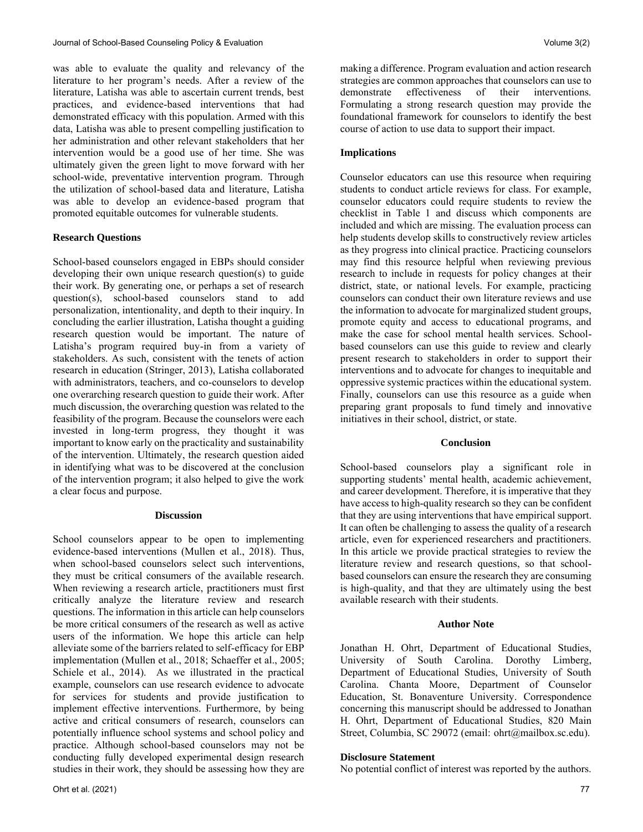was able to evaluate the quality and relevancy of the literature to her program's needs. After a review of the literature, Latisha was able to ascertain current trends, best practices, and evidence-based interventions that had demonstrated efficacy with this population. Armed with this data, Latisha was able to present compelling justification to her administration and other relevant stakeholders that her intervention would be a good use of her time. She was ultimately given the green light to move forward with her school-wide, preventative intervention program. Through the utilization of school-based data and literature, Latisha was able to develop an evidence-based program that promoted equitable outcomes for vulnerable students.

# **Research Questions**

School-based counselors engaged in EBPs should consider developing their own unique research question(s) to guide their work. By generating one, or perhaps a set of research question(s), school-based counselors stand to add personalization, intentionality, and depth to their inquiry. In concluding the earlier illustration, Latisha thought a guiding research question would be important. The nature of Latisha's program required buy-in from a variety of stakeholders. As such, consistent with the tenets of action research in education (Stringer, 2013), Latisha collaborated with administrators, teachers, and co-counselors to develop one overarching research question to guide their work. After much discussion, the overarching question was related to the feasibility of the program. Because the counselors were each invested in long-term progress, they thought it was important to know early on the practicality and sustainability of the intervention. Ultimately, the research question aided in identifying what was to be discovered at the conclusion of the intervention program; it also helped to give the work a clear focus and purpose.

#### **Discussion**

School counselors appear to be open to implementing evidence-based interventions (Mullen et al., 2018). Thus, when school-based counselors select such interventions, they must be critical consumers of the available research. When reviewing a research article, practitioners must first critically analyze the literature review and research questions. The information in this article can help counselors be more critical consumers of the research as well as active users of the information. We hope this article can help alleviate some of the barriers related to self-efficacy for EBP implementation (Mullen et al., 2018; Schaeffer et al., 2005; Schiele et al., 2014). As we illustrated in the practical example, counselors can use research evidence to advocate for services for students and provide justification to implement effective interventions. Furthermore, by being active and critical consumers of research, counselors can potentially influence school systems and school policy and practice. Although school-based counselors may not be conducting fully developed experimental design research studies in their work, they should be assessing how they are making a difference. Program evaluation and action research strategies are common approaches that counselors can use to demonstrate effectiveness of their interventions. Formulating a strong research question may provide the foundational framework for counselors to identify the best course of action to use data to support their impact.

# **Implications**

Counselor educators can use this resource when requiring students to conduct article reviews for class. For example, counselor educators could require students to review the checklist in Table 1 and discuss which components are included and which are missing. The evaluation process can help students develop skills to constructively review articles as they progress into clinical practice. Practicing counselors may find this resource helpful when reviewing previous research to include in requests for policy changes at their district, state, or national levels. For example, practicing counselors can conduct their own literature reviews and use the information to advocate for marginalized student groups, promote equity and access to educational programs, and make the case for school mental health services. Schoolbased counselors can use this guide to review and clearly present research to stakeholders in order to support their interventions and to advocate for changes to inequitable and oppressive systemic practices within the educational system. Finally, counselors can use this resource as a guide when preparing grant proposals to fund timely and innovative initiatives in their school, district, or state.

# **Conclusion**

School-based counselors play a significant role in supporting students' mental health, academic achievement, and career development. Therefore, it is imperative that they have access to high-quality research so they can be confident that they are using interventions that have empirical support. It can often be challenging to assess the quality of a research article, even for experienced researchers and practitioners. In this article we provide practical strategies to review the literature review and research questions, so that schoolbased counselors can ensure the research they are consuming is high-quality, and that they are ultimately using the best available research with their students.

# **Author Note**

Jonathan H. Ohrt, Department of Educational Studies, University of South Carolina. Dorothy Limberg, Department of Educational Studies, University of South Carolina. Chanta Moore, Department of Counselor Education, St. Bonaventure University. Correspondence concerning this manuscript should be addressed to Jonathan H. Ohrt, Department of Educational Studies, 820 Main Street, Columbia, SC 29072 (email: [ohrt@mailbox.sc.edu\)](mailto:ohrt@mailbox.sc.edu).

# **Disclosure Statement**

No potential conflict of interest was reported by the authors.